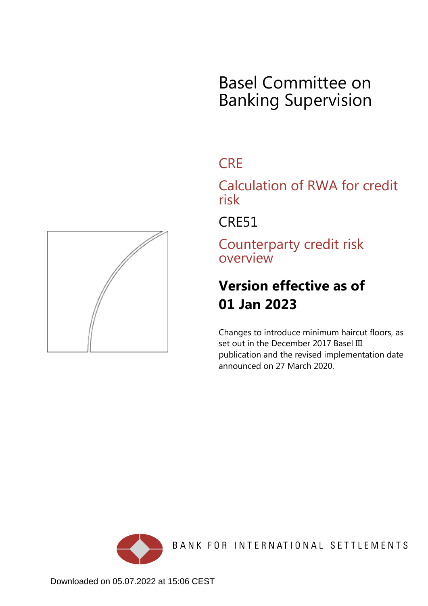# Basel Committee on Banking Supervision

## **CRE**

Calculation of RWA for credit risk

CRE51

Counterparty credit risk overview

## **Version effective as of 01 Jan 2023**

Changes to introduce minimum haircut floors, as set out in the December 2017 Basel III publication and the revised implementation date announced on 27 March 2020.



BANK FOR INTERNATIONAL SETTLEMENTS

<span id="page-0-0"></span>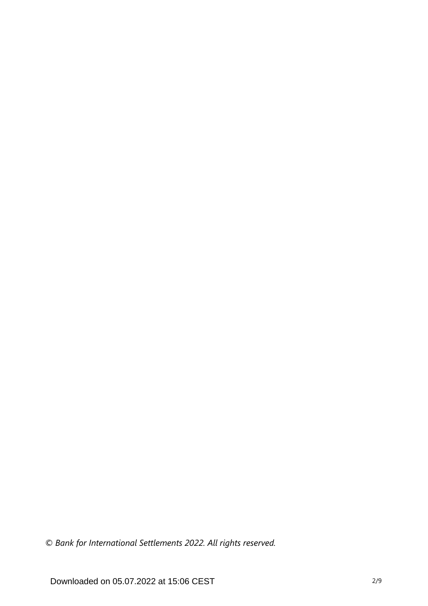*© Bank for International Settlements 2022. All rights reserved.*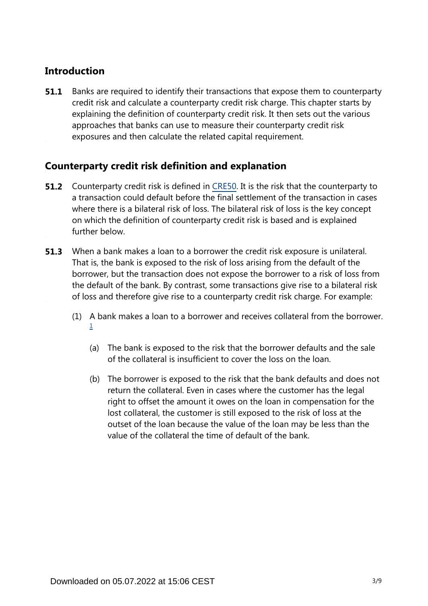### **Introduction**

Banks are required to identify their transactions that expose them to counterparty credit risk and calculate a counterparty credit risk charge. This chapter starts by explaining the definition of counterparty credit risk. It then sets out the various approaches that banks can use to measure their counterparty credit risk exposures and then calculate the related capital requirement. **51.1**

### **Counterparty credit risk definition and explanation**

- **51.2** Counterparty credit risk is defined in [CRE50.](https://www.bis.org/basel_framework/chapter/CRE/50.htm?tldate=20230101&inforce=20191215&published=20191215) It is the risk that the counterparty to a transaction could default before the final settlement of the transaction in cases where there is a bilateral risk of loss. The bilateral risk of loss is the key concept on which the definition of counterparty credit risk is based and is explained further below.
- When a bank makes a loan to a borrower the credit risk exposure is unilateral. That is, the bank is exposed to the risk of loss arising from the default of the borrower, but the transaction does not expose the borrower to a risk of loss from the default of the bank. By contrast, some transactions give rise to a bilateral risk of loss and therefore give rise to a counterparty credit risk charge. For example: **51.3**
	- (1) A bank makes a loan to a borrower and receives collateral from the borrower. [1](#page-4-0)
		- (a) The bank is exposed to the risk that the borrower defaults and the sale of the collateral is insufficient to cover the loss on the loan.
		- (b) The borrower is exposed to the risk that the bank defaults and does not return the collateral. Even in cases where the customer has the legal right to offset the amount it owes on the loan in compensation for the lost collateral, the customer is still exposed to the risk of loss at the outset of the loan because the value of the loan may be less than the value of the collateral the time of default of the bank.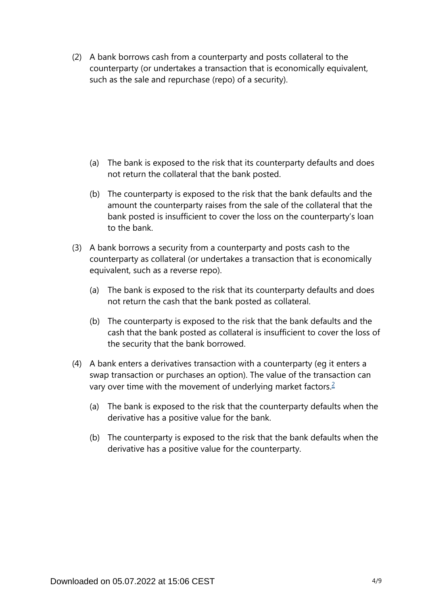(2) A bank borrows cash from a counterparty and posts collateral to the counterparty (or undertakes a transaction that is economically equivalent, such as the sale and repurchase (repo) of a security).

- (a) The bank is exposed to the risk that its counterparty defaults and does not return the collateral that the bank posted.
- (b) The counterparty is exposed to the risk that the bank defaults and the amount the counterparty raises from the sale of the collateral that the bank posted is insufficient to cover the loss on the counterparty's loan to the bank.
- (3) A bank borrows a security from a counterparty and posts cash to the counterparty as collateral (or undertakes a transaction that is economically equivalent, such as a reverse repo).
	- (a) The bank is exposed to the risk that its counterparty defaults and does not return the cash that the bank posted as collateral.
	- (b) The counterparty is exposed to the risk that the bank defaults and the cash that the bank posted as collateral is insufficient to cover the loss of the security that the bank borrowed.
- <span id="page-3-0"></span>(4) A bank enters a derivatives transaction with a counterparty (eg it enters a swap transaction or purchases an option). The value of the transaction can vary over time with the movement of underlying market factors.<sup>[2](#page-4-1)</sup>
	- (a) The bank is exposed to the risk that the counterparty defaults when the derivative has a positive value for the bank.
	- (b) The counterparty is exposed to the risk that the bank defaults when the derivative has a positive value for the counterparty.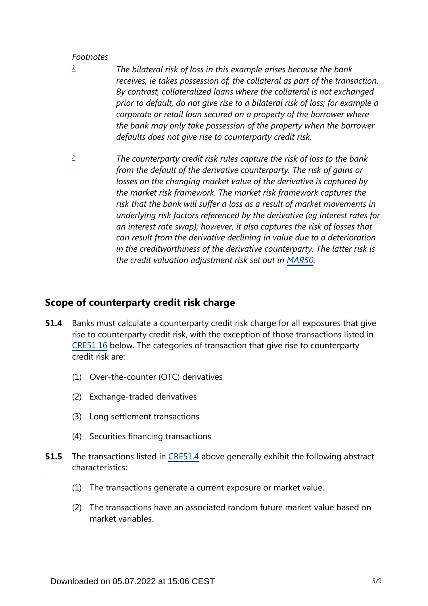#### *Footnotes*

- <span id="page-4-0"></span>*The bilateral risk of loss in this example arises because the bank receives, ie takes possession of, the collateral as part of the transaction. By contrast, collateralized loans where the collateral is not exchanged prior to default, do not give rise to a bilateral risk of loss; for example a corporate or retail loan secured on a property of the borrower where the bank may only take possession of the property when the borrower defaults does not give rise to counterparty credit risk. [1](#page-0-0)*
- <span id="page-4-1"></span>*The counterparty credit risk rules capture the risk of loss to the bank from the default of the derivative counterparty. The risk of gains or losses on the changing market value of the derivative is captured by the market risk framework. The market risk framework captures the risk that the bank will suffer a loss as a result of market movements in underlying risk factors referenced by the derivative (eg interest rates for an interest rate swap); however, it also captures the risk of losses that can result from the derivative declining in value due to a deterioration in the creditworthiness of the derivative counterparty. The latter risk is the credit valuation adjustment risk set out in [MAR50](https://www.bis.org/basel_framework/chapter/MAR/50.htm?tldate=20230101&inforce=20230101&published=20200708). [2](#page-3-0)*

#### **Scope of counterparty credit risk charge**

- Banks must calculate a counterparty credit risk charge for all exposures that give rise to counterparty credit risk, with the exception of those transactions listed in [CRE51.16](https://www.bis.org/basel_framework/chapter/CRE/51.htm?tldate=20230101&inforce=20230101&published=20200327#paragraph_CRE_51_20230101_51_16) below. The categories of transaction that give rise to counterparty credit risk are: **51.4**
	- (1) Over-the-counter (OTC) derivatives
	- (2) Exchange-traded derivatives
	- (3) Long settlement transactions
	- (4) Securities financing transactions
- The transactions listed in [CRE51.4](https://www.bis.org/basel_framework/chapter/CRE/51.htm?tldate=20230101&inforce=20230101&published=20200327#paragraph_CRE_51_20230101_51_4) above generally exhibit the following abstract characteristics: **51.5**
	- (1) The transactions generate a current exposure or market value.
	- (2) The transactions have an associated random future market value based on market variables.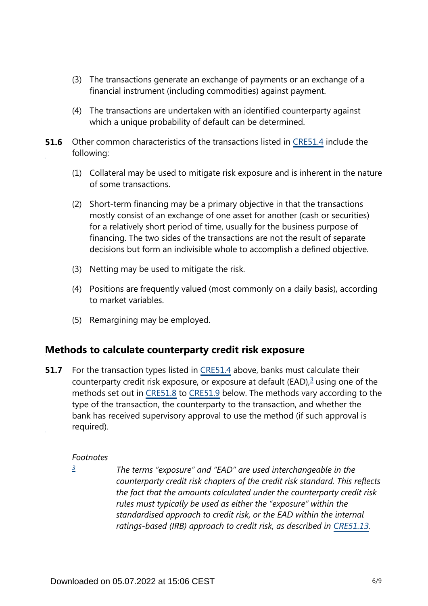- (3) The transactions generate an exchange of payments or an exchange of a financial instrument (including commodities) against payment.
- (4) The transactions are undertaken with an identified counterparty against which a unique probability of default can be determined.
- **51.6** Other common characteristics of the transactions listed in [CRE51.4](https://www.bis.org/basel_framework/chapter/CRE/51.htm?tldate=20230101&inforce=20230101&published=20200327#paragraph_CRE_51_20230101_51_4) include the following:
	- (1) Collateral may be used to mitigate risk exposure and is inherent in the nature of some transactions.
	- (2) Short-term financing may be a primary objective in that the transactions mostly consist of an exchange of one asset for another (cash or securities) for a relatively short period of time, usually for the business purpose of financing. The two sides of the transactions are not the result of separate decisions but form an indivisible whole to accomplish a defined objective.
	- (3) Netting may be used to mitigate the risk.
	- (4) Positions are frequently valued (most commonly on a daily basis), according to market variables.
	- (5) Remargining may be employed.

#### **Methods to calculate counterparty credit risk exposure**

<span id="page-5-1"></span>For the transaction types listed in [CRE51.4](https://www.bis.org/basel_framework/chapter/CRE/51.htm?tldate=20230101&inforce=20230101&published=20200327#paragraph_CRE_51_20230101_51_4) above, banks must calculate their counterparty credit risk exposure, or exposure at default (EAD), $3$  using one of the methods set out in [CRE51.8](https://www.bis.org/basel_framework/chapter/CRE/51.htm?tldate=20230101&inforce=20230101&published=20200327#paragraph_CRE_51_20230101_51_8) to [CRE51.9](https://www.bis.org/basel_framework/chapter/CRE/51.htm?tldate=20230101&inforce=20230101&published=20200327#paragraph_CRE_51_20230101_51_9) below. The methods vary according to the type of the transaction, the counterparty to the transaction, and whether the bank has received supervisory approval to use the method (if such approval is required). **51.7**

#### *Footnotes*

<span id="page-5-0"></span>*[3](#page-5-1)*

*The terms "exposure" and "EAD" are used interchangeable in the counterparty credit risk chapters of the credit risk standard. This reflects the fact that the amounts calculated under the counterparty credit risk rules must typically be used as either the "exposure" within the standardised approach to credit risk, or the EAD within the internal*  ratings-based (IRB) approach to credit risk, as described in [CRE51.13](https://www.bis.org/basel_framework/chapter/CRE/51.htm?tldate=20230101&inforce=20230101&published=20200327#paragraph_CRE_51_20230101_51_13).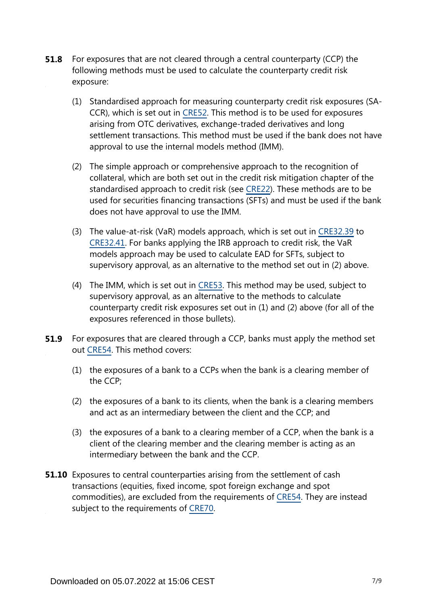- For exposures that are not cleared through a central counterparty (CCP) the following methods must be used to calculate the counterparty credit risk exposure: **51.8**
	- (1) Standardised approach for measuring counterparty credit risk exposures (SA-CCR), which is set out in [CRE52.](https://www.bis.org/basel_framework/chapter/CRE/52.htm?tldate=20230101&inforce=20230101&published=20200605) This method is to be used for exposures arising from OTC derivatives, exchange-traded derivatives and long settlement transactions. This method must be used if the bank does not have approval to use the internal models method (IMM).
	- (2) The simple approach or comprehensive approach to the recognition of collateral, which are both set out in the credit risk mitigation chapter of the standardised approach to credit risk (see [CRE22\)](https://www.bis.org/basel_framework/chapter/CRE/22.htm?tldate=20230101&inforce=20230101&published=20201126). These methods are to be used for securities financing transactions (SFTs) and must be used if the bank does not have approval to use the IMM.
	- (3) The value-at-risk (VaR) models approach, which is set out in [CRE32.39](https://www.bis.org/basel_framework/chapter/CRE/32.htm?tldate=20230101&inforce=20230101&published=20200327#paragraph_CRE_32_20230101_32_39) to [CRE32.41.](https://www.bis.org/basel_framework/chapter/CRE/32.htm?tldate=20230101&inforce=20230101&published=20200327#paragraph_CRE_32_20230101_32_41) For banks applying the IRB approach to credit risk, the VaR models approach may be used to calculate EAD for SFTs, subject to supervisory approval, as an alternative to the method set out in (2) above.
	- (4) The IMM, which is set out in [CRE53](https://www.bis.org/basel_framework/chapter/CRE/53.htm?tldate=20230101&inforce=20230101&published=20200605). This method may be used, subject to supervisory approval, as an alternative to the methods to calculate counterparty credit risk exposures set out in (1) and (2) above (for all of the exposures referenced in those bullets).
- For exposures that are cleared through a CCP, banks must apply the method set out [CRE54.](https://www.bis.org/basel_framework/chapter/CRE/54.htm?tldate=20230101&inforce=20230101&published=20200327) This method covers: **51.9**
	- (1) the exposures of a bank to a CCPs when the bank is a clearing member of the CCP;
	- (2) the exposures of a bank to its clients, when the bank is a clearing members and act as an intermediary between the client and the CCP; and
	- (3) the exposures of a bank to a clearing member of a CCP, when the bank is a client of the clearing member and the clearing member is acting as an intermediary between the bank and the CCP.
- **51.10** Exposures to central counterparties arising from the settlement of cash transactions (equities, fixed income, spot foreign exchange and spot commodities), are excluded from the requirements of [CRE54.](https://www.bis.org/basel_framework/chapter/CRE/54.htm?tldate=20230101&inforce=20230101&published=20200327) They are instead subject to the requirements of [CRE70.](https://www.bis.org/basel_framework/chapter/CRE/70.htm?tldate=20230101&inforce=20191215&published=20191215)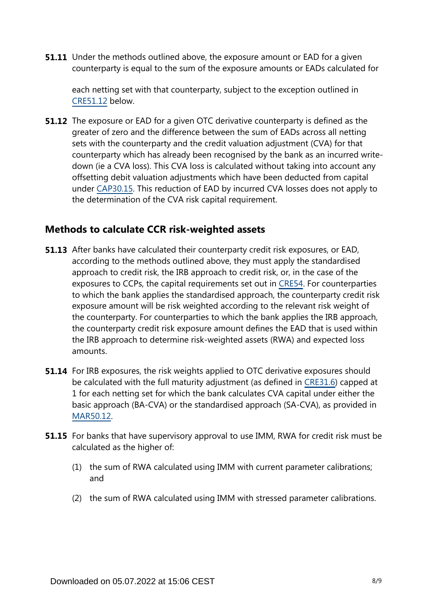**51.11** Under the methods outlined above, the exposure amount or EAD for a given counterparty is equal to the sum of the exposure amounts or EADs calculated for

each netting set with that counterparty, subject to the exception outlined in [CRE51.12](https://www.bis.org/basel_framework/chapter/CRE/51.htm?tldate=20230101&inforce=20230101&published=20200327#paragraph_CRE_51_20230101_51_12) below.

**51.12** The exposure or EAD for a given OTC derivative counterparty is defined as the greater of zero and the difference between the sum of EADs across all netting sets with the counterparty and the credit valuation adjustment (CVA) for that counterparty which has already been recognised by the bank as an incurred writedown (ie a CVA loss). This CVA loss is calculated without taking into account any offsetting debit valuation adjustments which have been deducted from capital under [CAP30.15.](https://www.bis.org/basel_framework/chapter/CAP/30.htm?tldate=20230101&inforce=20191215&published=20191215#paragraph_CAP_30_20191215_30_15) This reduction of EAD by incurred CVA losses does not apply to the determination of the CVA risk capital requirement.

#### **Methods to calculate CCR risk-weighted assets**

- **51.13** After banks have calculated their counterparty credit risk exposures, or EAD, according to the methods outlined above, they must apply the standardised approach to credit risk, the IRB approach to credit risk, or, in the case of the exposures to CCPs, the capital requirements set out in [CRE54.](https://www.bis.org/basel_framework/chapter/CRE/54.htm?tldate=20230101&inforce=20230101&published=20200327) For counterparties to which the bank applies the standardised approach, the counterparty credit risk exposure amount will be risk weighted according to the relevant risk weight of the counterparty. For counterparties to which the bank applies the IRB approach, the counterparty credit risk exposure amount defines the EAD that is used within the IRB approach to determine risk-weighted assets (RWA) and expected loss amounts.
- **51.14** For IRB exposures, the risk weights applied to OTC derivative exposures should be calculated with the full maturity adjustment (as defined in [CRE31.6](https://www.bis.org/basel_framework/chapter/CRE/31.htm?tldate=20230101&inforce=20230101&published=20200327#paragraph_CRE_31_20230101_31_6)) capped at 1 for each netting set for which the bank calculates CVA capital under either the basic approach (BA-CVA) or the standardised approach (SA-CVA), as provided in [MAR50.12](https://www.bis.org/basel_framework/chapter/MAR/50.htm?tldate=20230101&inforce=20230101&published=20200708#paragraph_MAR_50_20230101_50_12).
- **51.15** For banks that have supervisory approval to use IMM, RWA for credit risk must be calculated as the higher of:
	- (1) the sum of RWA calculated using IMM with current parameter calibrations; and
	- (2) the sum of RWA calculated using IMM with stressed parameter calibrations.